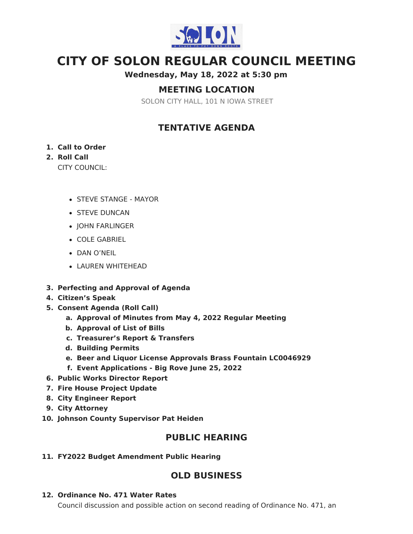

# **CITY OF SOLON REGULAR COUNCIL MEETING**

**Wednesday, May 18, 2022 at 5:30 pm**

# **MEETING LOCATION**

SOLON CITY HALL, 101 N IOWA STREET

# **TENTATIVE AGENDA**

#### **1. Call to Order**

### **2. Roll Call**

CITY COUNCIL:

- STEVE STANGE MAYOR
- **STEVE DUNCAN**
- JOHN FARLINGER
- COLE GABRIEL
- DAN O'NEIL
- LAUREN WHITEHEAD
- **3. Perfecting and Approval of Agenda**
- **4. Citizen's Speak**
- **5. Consent Agenda (Roll Call)**
	- **a. Approval of Minutes from May 4, 2022 Regular Meeting**
	- **b. Approval of List of Bills**
	- **c. Treasurer's Report & Transfers**
	- **d. Building Permits**
	- **e. Beer and Liquor License Approvals Brass Fountain LC0046929**
	- **f. Event Applications - Big Rove June 25, 2022**
- **6. Public Works Director Report**
- **7. Fire House Project Update**
- **8. City Engineer Report**
- **9. City Attorney**
- **10. Johnson County Supervisor Pat Heiden**

### **PUBLIC HEARING**

**11. FY2022 Budget Amendment Public Hearing**

# **OLD BUSINESS**

**12. Ordinance No. 471 Water Rates**

Council discussion and possible action on second reading of Ordinance No. 471, an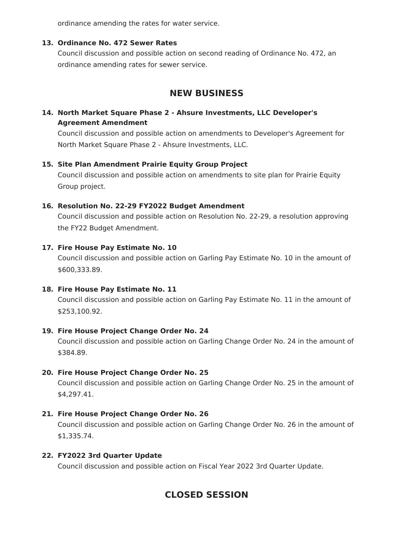ordinance amending the rates for water service.

#### **13. Ordinance No. 472 Sewer Rates**

Council discussion and possible action on second reading of Ordinance No. 472, an ordinance amending rates for sewer service.

# **NEW BUSINESS**

### **14. North Market Square Phase 2 - Ahsure Investments, LLC Developer's Agreement Amendment**

Council discussion and possible action on amendments to Developer's Agreement for North Market Square Phase 2 - Ahsure Investments, LLC.

#### **15. Site Plan Amendment Prairie Equity Group Project**

Council discussion and possible action on amendments to site plan for Prairie Equity Group project.

#### **16. Resolution No. 22-29 FY2022 Budget Amendment**

Council discussion and possible action on Resolution No. 22-29, a resolution approving the FY22 Budget Amendment.

#### **17. Fire House Pay Estimate No. 10**

Council discussion and possible action on Garling Pay Estimate No. 10 in the amount of \$600,333.89.

#### **18. Fire House Pay Estimate No. 11**

Council discussion and possible action on Garling Pay Estimate No. 11 in the amount of \$253,100.92.

#### **19. Fire House Project Change Order No. 24**

Council discussion and possible action on Garling Change Order No. 24 in the amount of \$384.89.

#### **20. Fire House Project Change Order No. 25**

Council discussion and possible action on Garling Change Order No. 25 in the amount of \$4,297.41.

#### **21. Fire House Project Change Order No. 26**

Council discussion and possible action on Garling Change Order No. 26 in the amount of \$1,335.74.

#### **22. FY2022 3rd Quarter Update**

Council discussion and possible action on Fiscal Year 2022 3rd Quarter Update.

# **CLOSED SESSION**